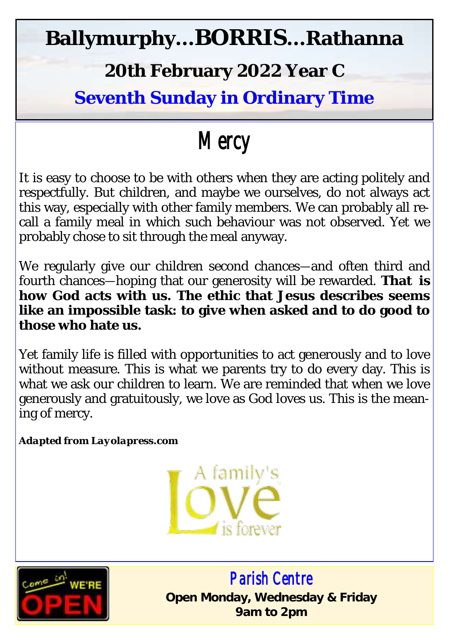## **Ballymurphy...BORRIS...Rathanna**

#### **20th February 2022 Year C**

**Seventh Sunday in Ordinary Time**

# *Mercy*

It is easy to choose to be with others when they are acting politely and respectfully. But children, and maybe we ourselves, do not always act this way, especially with other family members. We can probably all recall a family meal in which such behaviour was not observed. Yet we probably chose to sit through the meal anyway.

We regularly give our children second chances—and often third and fourth chances—hoping that our generosity will be rewarded. **That is how God acts with us. The ethic that Jesus describes seems like an impossible task: to give when asked and to do good to those who hate us.** 

Yet family life is filled with opportunities to act generously and to love without measure. This is what we parents try to do every day. This is what we ask our children to learn. We are reminded that when we love generously and gratuitously, we love as God loves us. This is the meaning of mercy.

*Adapted from Layolapress.com*





 *Parish Centre*  **Open Monday, Wednesday & Friday 9am to 2pm**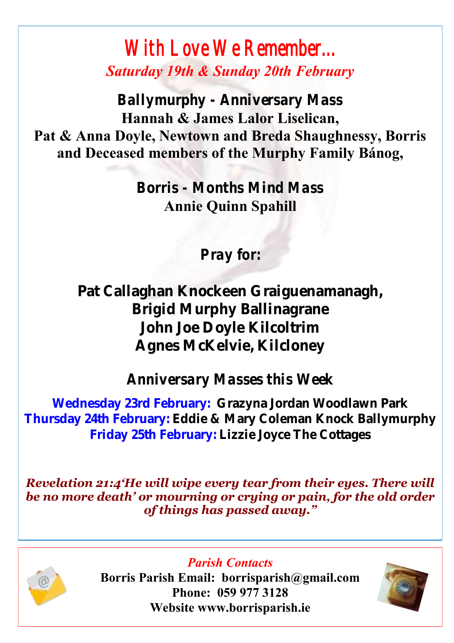### *With Love We Remember... Saturday 19th & Sunday 20th February*

*Ballymurphy - Anniversary Mass*  **Hannah & James Lalor Liselican, Pat & Anna Doyle, Newtown and Breda Shaughnessy, Borris and Deceased members of the Murphy Family Bánog,**

> *Borris - Months Mind Mass* **Annie Quinn Spahill**

> > *Pray for:*

**Pat Callaghan Knockeen Graiguenamanagh, Brigid Murphy Ballinagrane John Joe Doyle Kilcoltrim Agnes McKelvie, Kilcloney**

*Anniversary Masses this Week*

**Wednesday 23rd February: Grazyna Jordan Woodlawn Park Thursday 24th February: Eddie & Mary Coleman Knock Ballymurphy Friday 25th February: Lizzie Joyce The Cottages**

*Revelation 21:4'He will wipe every tear from their eyes. There will be no more death' or mourning or crying or pain, for the old order of things has passed away."*



**Borris Parish Email: borrisparish@gmail.com Phone: 059 977 3128 Website www.borrisparish.ie**

*Parish Contacts*

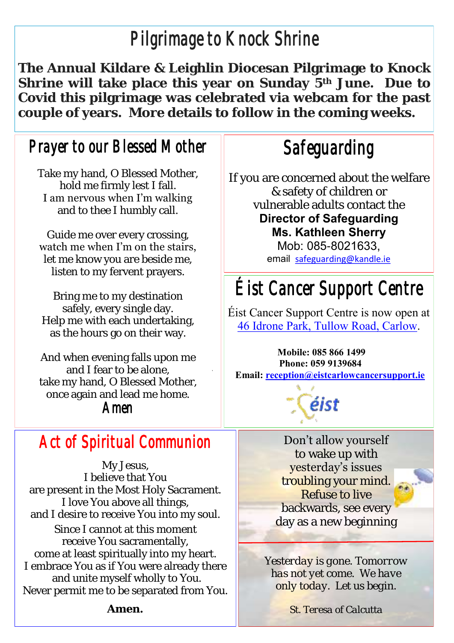## *Pilgrimage to Knock Shrine*

**The Annual Kildare & Leighlin Diocesan Pilgrimage to Knock Shrine will take place this year on Sunday 5th June. Due to Covid this pilgrimage was celebrated via webcam for the past couple of years. More details to follow in the coming weeks.**

#### *Prayer to our Blessed Mother*

Take my hand, O Blessed Mother, hold me firmly lest I fall. I am nervous when I'm walking and to thee I humbly call.

Guide me over every crossing, watch me when I'm on the stairs, let me know you are beside me, listen to my fervent prayers.

Bring me to my destination safely, every single day. Help me with each undertaking, as the hours go on their way.

And when evening falls upon me and I fear to be alone, take my hand, O Blessed Mother, once again and lead me home. *Amen*

#### *Act of Spiritual Communion*

My Jesus, I believe that You are present in the Most Holy Sacrament. I love You above all things, and I desire to receive You into my soul. Since I cannot at this moment receive You sacramentally, come at least spiritually into my heart. I embrace You as if You were already there and unite myself wholly to You. Never permit me to be separated from You. *Safeguarding* 

If you are concerned about the welfare & safety of children or vulnerable adults contact the **Director of Safeguarding Ms. Kathleen Sherry**  Mob: 085-8021633,

email [safeguarding@kandle.ie](mailto:safeguarding@kandle.ie)

## *Éist Cancer Support Centre*

Éist Cancer Support Centre is now open at [46 Idrone Park, Tullow Road, Carlow.](https://www.google.com/maps/search/46+Idrone+Park,+Tullow+Road,+Carlow?entry=gmail&source=g) 

**Mobile: 085 866 1499 Phone: 059 9139684 Email: [reception@eistcarlowcancersupport.ie](https://mail.google.com/mail/u/0/h/1qtoezsqni0f/?&cs=wh&v=b&to=reception@eistcarlowcancersupport.ie)**

éist

Don't allow yourself to wake up with yesterday's issues troubling your mind. Refuse to live backwards, see every day as a new beginning

*Yesterday is gone. Tomorrow has not yet come. We have only today. Let us begin.*

*St. Teresa of Calcutta*

**Amen.**